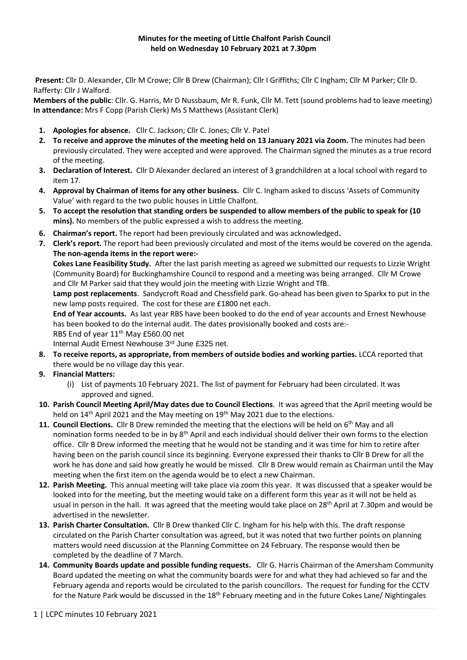**Present:** Cllr D. Alexander, Cllr M Crowe; Cllr B Drew (Chairman); Cllr I Griffiths; Cllr C Ingham; Cllr M Parker; Cllr D. Rafferty: Cllr J Walford.

**Members of the public**: Cllr. G. Harris, Mr D Nussbaum, Mr R. Funk, Cllr M. Tett (sound problems had to leave meeting) **In attendance:** Mrs F Copp (Parish Clerk) Ms S Matthews (Assistant Clerk)

- **1. Apologies for absence.** Cllr C. Jackson; Cllr C. Jones; Cllr V. Patel
- **2. To receive and approve the minutes of the meeting held on 13 January 2021 via Zoom.** The minutes had been previously circulated. They were accepted and were approved. The Chairman signed the minutes as a true record of the meeting.
- **3. Declaration of Interest.** Cllr D Alexander declared an interest of 3 grandchildren at a local school with regard to item 17.
- **4. Approval by Chairman of items for any other business.** Cllr C. Ingham asked to discuss 'Assets of Community Value' with regard to the two public houses in Little Chalfont.
- **5. To accept the resolution that standing orders be suspended to allow members of the public to speak for (10 mins).** No members of the public expressed a wish to address the meeting.
- **6. Chairman's report.** The report had been previously circulated and was acknowledged.
- **7. Clerk's report.** The report had been previously circulated and most of the items would be covered on the agenda. **The non-agenda items in the report were:-**

**Cokes Lane Feasibility Study.** After the last parish meeting as agreed we submitted our requests to Lizzie Wright (Community Board) for Buckinghamshire Council to respond and a meeting was being arranged. Cllr M Crowe and Cllr M Parker said that they would join the meeting with Lizzie Wright and TfB.

**Lamp post replacements**. Sandycroft Road and Chessfield park. Go-ahead has been given to Sparkx to put in the new lamp posts required. The cost for these are £1800 net each.

**End of Year accounts.** As last year RBS have been booked to do the end of year accounts and Ernest Newhouse has been booked to do the internal audit. The dates provisionally booked and costs are:- RBS End of year 11<sup>th</sup> May £560.00 net

Internal Audit Ernest Newhouse 3rd June £325 net.

- **8. To receive reports, as appropriate, from members of outside bodies and working parties.** LCCA reported that there would be no village day this year.
- **9. Financial Matters:**
	- (i) List of payments 10 February 2021. The list of payment for February had been circulated. It was approved and signed.
- **10. Parish Council Meeting April/May dates due to Council Elections**. It was agreed that the April meeting would be held on 14<sup>th</sup> April 2021 and the May meeting on 19<sup>th</sup> May 2021 due to the elections.
- **11. Council Elections.** Cllr B Drew reminded the meeting that the elections will be held on 6th May and all nomination forms needed to be in by 8th April and each individual should deliver their own forms to the election office. Cllr B Drew informed the meeting that he would not be standing and it was time for him to retire after having been on the parish council since its beginning. Everyone expressed their thanks to Cllr B Drew for all the work he has done and said how greatly he would be missed. Cllr B Drew would remain as Chairman until the May meeting when the first item on the agenda would be to elect a new Chairman.
- **12. Parish Meeting.** This annual meeting will take place via zoom this year. It was discussed that a speaker would be looked into for the meeting, but the meeting would take on a different form this year as it will not be held as usual in person in the hall. It was agreed that the meeting would take place on 28<sup>th</sup> April at 7.30pm and would be advertised in the newsletter.
- **13. Parish Charter Consultation.** Cllr B Drew thanked Cllr C. Ingham for his help with this. The draft response circulated on the Parish Charter consultation was agreed, but it was noted that two further points on planning matters would need discussion at the Planning Committee on 24 February. The response would then be completed by the deadline of 7 March.
- **14. Community Boards update and possible funding requests.** Cllr G. Harris Chairman of the Amersham Community Board updated the meeting on what the community boards were for and what they had achieved so far and the February agenda and reports would be circulated to the parish councillors. The request for funding for the CCTV for the Nature Park would be discussed in the 18<sup>th</sup> February meeting and in the future Cokes Lane/ Nightingales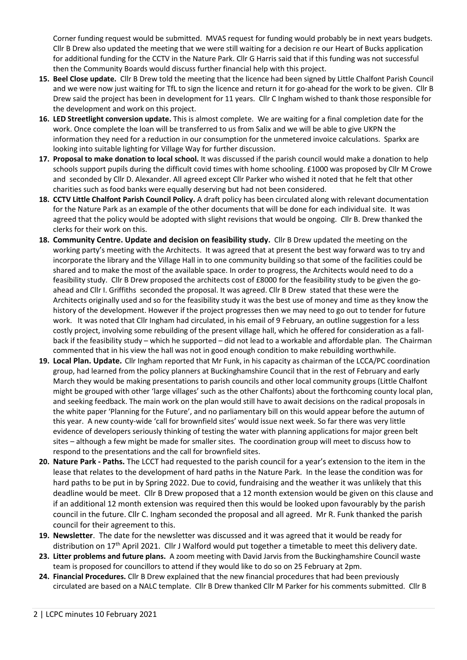Corner funding request would be submitted. MVAS request for funding would probably be in next years budgets. Cllr B Drew also updated the meeting that we were still waiting for a decision re our Heart of Bucks application for additional funding for the CCTV in the Nature Park. Cllr G Harris said that if this funding was not successful then the Community Boards would discuss further financial help with this project.

- **15. Beel Close update.** Cllr B Drew told the meeting that the licence had been signed by Little Chalfont Parish Council and we were now just waiting for TfL to sign the licence and return it for go-ahead for the work to be given. Cllr B Drew said the project has been in development for 11 years. Cllr C Ingham wished to thank those responsible for the development and work on this project.
- **16. LED Streetlight conversion update.** This is almost complete. We are waiting for a final completion date for the work. Once complete the loan will be transferred to us from Salix and we will be able to give UKPN the information they need for a reduction in our consumption for the unmetered invoice calculations. Sparkx are looking into suitable lighting for Village Way for further discussion.
- **17. Proposal to make donation to local school.** It was discussed if the parish council would make a donation to help schools support pupils during the difficult covid times with home schooling. £1000 was proposed by Cllr M Crowe and seconded by Cllr D. Alexander. All agreed except Cllr Parker who wished it noted that he felt that other charities such as food banks were equally deserving but had not been considered.
- **18. CCTV Little Chalfont Parish Council Policy.** A draft policy has been circulated along with relevant documentation for the Nature Park as an example of the other documents that will be done for each individual site. It was agreed that the policy would be adopted with slight revisions that would be ongoing. Cllr B. Drew thanked the clerks for their work on this.
- **18. Community Centre. Update and decision on feasibility study.** Cllr B Drew updated the meeting on the working party's meeting with the Architects. It was agreed that at present the best way forward was to try and incorporate the library and the Village Hall in to one community building so that some of the facilities could be shared and to make the most of the available space. In order to progress, the Architects would need to do a feasibility study. Cllr B Drew proposed the architects cost of £8000 for the feasibility study to be given the goahead and Cllr I. Griffiths seconded the proposal. It was agreed. Cllr B Drew stated that these were the Architects originally used and so for the feasibility study it was the best use of money and time as they know the history of the development. However if the project progresses then we may need to go out to tender for future work. It was noted that Cllr Ingham had circulated, in his email of 9 February, an outline suggestion for a less costly project, involving some rebuilding of the present village hall, which he offered for consideration as a fallback if the feasibility study – which he supported – did not lead to a workable and affordable plan. The Chairman commented that in his view the hall was not in good enough condition to make rebuilding worthwhile.
- **19. Local Plan. Update.** Cllr Ingham reported that Mr Funk, in his capacity as chairman of the LCCA/PC coordination group, had learned from the policy planners at Buckinghamshire Council that in the rest of February and early March they would be making presentations to parish councils and other local community groups (Little Chalfont might be grouped with other 'large villages' such as the other Chalfonts) about the forthcoming county local plan, and seeking feedback. The main work on the plan would still have to await decisions on the radical proposals in the white paper 'Planning for the Future', and no parliamentary bill on this would appear before the autumn of this year. A new county-wide 'call for brownfield sites' would issue next week. So far there was very little evidence of developers seriously thinking of testing the water with planning applications for major green belt sites – although a few might be made for smaller sites. The coordination group will meet to discuss how to respond to the presentations and the call for brownfield sites.
- **20. Nature Park - Paths.** The LCCT had requested to the parish council for a year's extension to the item in the lease that relates to the development of hard paths in the Nature Park. In the lease the condition was for hard paths to be put in by Spring 2022. Due to covid, fundraising and the weather it was unlikely that this deadline would be meet. Cllr B Drew proposed that a 12 month extension would be given on this clause and if an additional 12 month extension was required then this would be looked upon favourably by the parish council in the future. Cllr C. Ingham seconded the proposal and all agreed. Mr R. Funk thanked the parish council for their agreement to this.
- **19. Newsletter**. The date for the newsletter was discussed and it was agreed that it would be ready for distribution on 17<sup>th</sup> April 2021. Cllr J Walford would put together a timetable to meet this delivery date.
- **23. Litter problems and future plans.** A zoom meeting with David Jarvis from the Buckinghamshire Council waste team is proposed for councillors to attend if they would like to do so on 25 February at 2pm.
- **24. Financial Procedures.** Cllr B Drew explained that the new financial procedures that had been previously circulated are based on a NALC template. Cllr B Drew thanked Cllr M Parker for his comments submitted. Cllr B